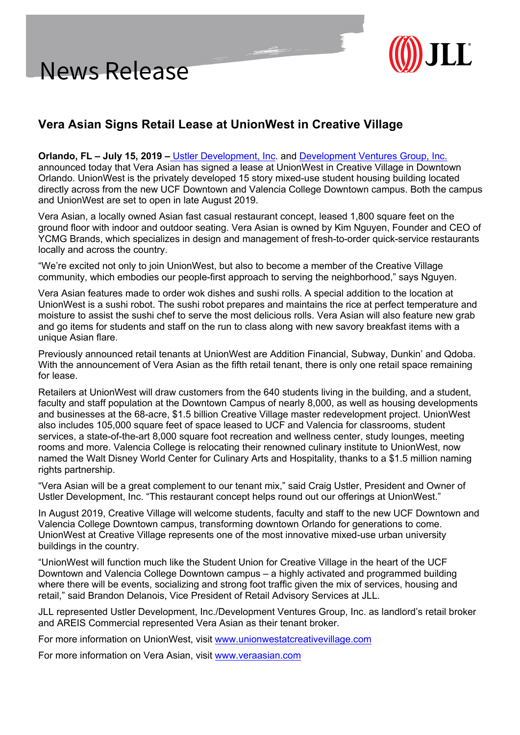

## **Vera Asian Signs Retail Lease at UnionWest in Creative Village**

## **Orlando, FL – July 15, 2019 –** Ustler Development, Inc. and Development Ventures Group, Inc.

announced today that Vera Asian has signed a lease at UnionWest in Creative Village in Downtown Orlando. UnionWest is the privately developed 15 story mixed-use student housing building located directly across from the new UCF Downtown and Valencia College Downtown campus. Both the campus and UnionWest are set to open in late August 2019.

Vera Asian, a locally owned Asian fast casual restaurant concept, leased 1,800 square feet on the ground floor with indoor and outdoor seating. Vera Asian is owned by Kim Nguyen, Founder and CEO of YCMG Brands, which specializes in design and management of fresh-to-order quick-service restaurants locally and across the country.

"We're excited not only to join UnionWest, but also to become a member of the Creative Village community, which embodies our people-first approach to serving the neighborhood," says Nguyen.

Vera Asian features made to order wok dishes and sushi rolls. A special addition to the location at UnionWest is a sushi robot. The sushi robot prepares and maintains the rice at perfect temperature and moisture to assist the sushi chef to serve the most delicious rolls. Vera Asian will also feature new grab and go items for students and staff on the run to class along with new savory breakfast items with a unique Asian flare.

Previously announced retail tenants at UnionWest are Addition Financial, Subway, Dunkin' and Qdoba. With the announcement of Vera Asian as the fifth retail tenant, there is only one retail space remaining for lease.

Retailers at UnionWest will draw customers from the 640 students living in the building, and a student, faculty and staff population at the Downtown Campus of nearly 8,000, as well as housing developments and businesses at the 68-acre, \$1.5 billion Creative Village master redevelopment project. UnionWest also includes 105,000 square feet of space leased to UCF and Valencia for classrooms, student services, a state-of-the-art 8,000 square foot recreation and wellness center, study lounges, meeting rooms and more. Valencia College is relocating their renowned culinary institute to UnionWest, now named the Walt Disney World Center for Culinary Arts and Hospitality, thanks to a \$1.5 million naming rights partnership.

"Vera Asian will be a great complement to our tenant mix," said Craig Ustler, President and Owner of Ustler Development, Inc. "This restaurant concept helps round out our offerings at UnionWest."

In August 2019, Creative Village will welcome students, faculty and staff to the new UCF Downtown and Valencia College Downtown campus, transforming downtown Orlando for generations to come. UnionWest at Creative Village represents one of the most innovative mixed-use urban university buildings in the country.

"UnionWest will function much like the Student Union for Creative Village in the heart of the UCF Downtown and Valencia College Downtown campus – a highly activated and programmed building where there will be events, socializing and strong foot traffic given the mix of services, housing and retail," said Brandon Delanois, Vice President of Retail Advisory Services at JLL.

JLL represented Ustler Development, Inc./Development Ventures Group, Inc. as landlord's retail broker and AREIS Commercial represented Vera Asian as their tenant broker.

For more information on UnionWest, visit www.unionwestatcreativevillage.com

For more information on Vera Asian, visit www.veraasian.com